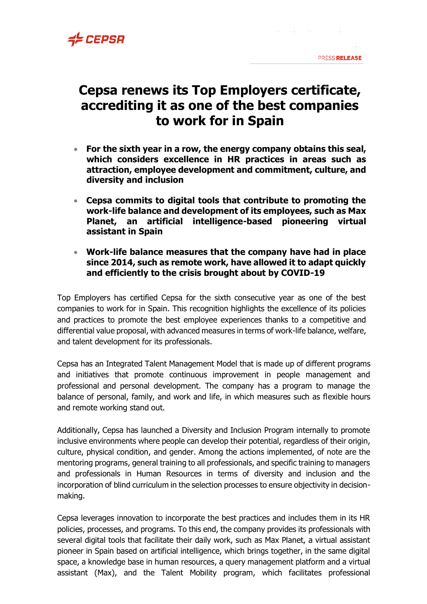

## **Cepsa renews its Top Employers certificate, accrediting it as one of the best companies to work for in Spain**

- **For the sixth year in a row, the energy company obtains this seal, which considers excellence in HR practices in areas such as attraction, employee development and commitment, culture, and diversity and inclusion**
- **Cepsa commits to digital tools that contribute to promoting the work-life balance and development of its employees, such as Max Planet, an artificial intelligence-based pioneering virtual assistant in Spain**
- **Work-life balance measures that the company have had in place since 2014, such as remote work, have allowed it to adapt quickly and efficiently to the crisis brought about by COVID-19**

Top Employers has certified Cepsa for the sixth consecutive year as one of the best companies to work for in Spain. This recognition highlights the excellence of its policies and practices to promote the best employee experiences thanks to a competitive and differential value proposal, with advanced measures in terms of work-life balance, welfare, and talent development for its professionals.

Cepsa has an Integrated Talent Management Model that is made up of different programs and initiatives that promote continuous improvement in people management and professional and personal development. The company has a program to manage the balance of personal, family, and work and life, in which measures such as flexible hours and remote working stand out.

Additionally, Cepsa has launched a Diversity and Inclusion Program internally to promote inclusive environments where people can develop their potential, regardless of their origin, culture, physical condition, and gender. Among the actions implemented, of note are the mentoring programs, general training to all professionals, and specific training to managers and professionals in Human Resources in terms of diversity and inclusion and the incorporation of blind curriculum in the selection processes to ensure objectivity in decisionmaking.

Cepsa leverages innovation to incorporate the best practices and includes them in its HR policies, processes, and programs. To this end, the company provides its professionals with several digital tools that facilitate their daily work, such as Max Planet, a virtual assistant pioneer in Spain based on artificial intelligence, which brings together, in the same digital space, a knowledge base in human resources, a query management platform and a virtual assistant (Max), and the Talent Mobility program, which facilitates professional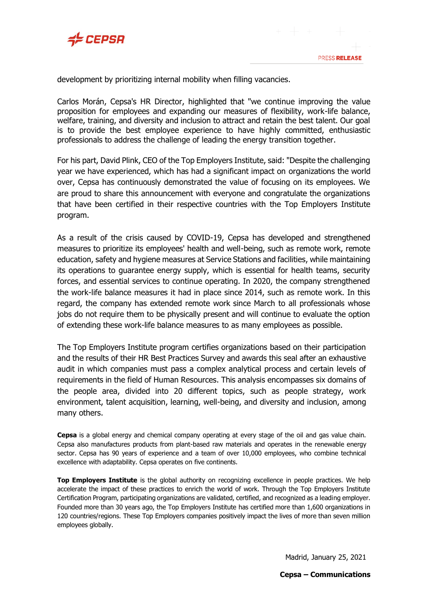

development by prioritizing internal mobility when filling vacancies.

Carlos Morán, Cepsa's HR Director, highlighted that "we continue improving the value proposition for employees and expanding our measures of flexibility, work-life balance, welfare, training, and diversity and inclusion to attract and retain the best talent. Our goal is to provide the best employee experience to have highly committed, enthusiastic professionals to address the challenge of leading the energy transition together.

For his part, David Plink, CEO of the Top Employers Institute, said: "Despite the challenging year we have experienced, which has had a significant impact on organizations the world over, Cepsa has continuously demonstrated the value of focusing on its employees. We are proud to share this announcement with everyone and congratulate the organizations that have been certified in their respective countries with the Top Employers Institute program.

As a result of the crisis caused by COVID-19, Cepsa has developed and strengthened measures to prioritize its employees' health and well-being, such as remote work, remote education, safety and hygiene measures at Service Stations and facilities, while maintaining its operations to guarantee energy supply, which is essential for health teams, security forces, and essential services to continue operating. In 2020, the company strengthened the work-life balance measures it had in place since 2014, such as remote work. In this regard, the company has extended remote work since March to all professionals whose jobs do not require them to be physically present and will continue to evaluate the option of extending these work-life balance measures to as many employees as possible.

The Top Employers Institute program certifies organizations based on their participation and the results of their HR Best Practices Survey and awards this seal after an exhaustive audit in which companies must pass a complex analytical process and certain levels of requirements in the field of Human Resources. This analysis encompasses six domains of the people area, divided into 20 different topics, such as people strategy, work environment, talent acquisition, learning, well-being, and diversity and inclusion, among many others.

**Cepsa** is a global energy and chemical company operating at every stage of the oil and gas value chain. Cepsa also manufactures products from plant-based raw materials and operates in the renewable energy sector. Cepsa has 90 years of experience and a team of over 10,000 employees, who combine technical excellence with adaptability. Cepsa operates on five continents.

**Top Employers Institute** is the global authority on recognizing excellence in people practices. We help accelerate the impact of these practices to enrich the world of work. Through the Top Employers Institute Certification Program, participating organizations are validated, certified, and recognized as a leading employer. Founded more than 30 years ago, the Top Employers Institute has certified more than 1,600 organizations in 120 countries/regions. These Top Employers companies positively impact the lives of more than seven million employees globally.

Madrid, January 25, 2021